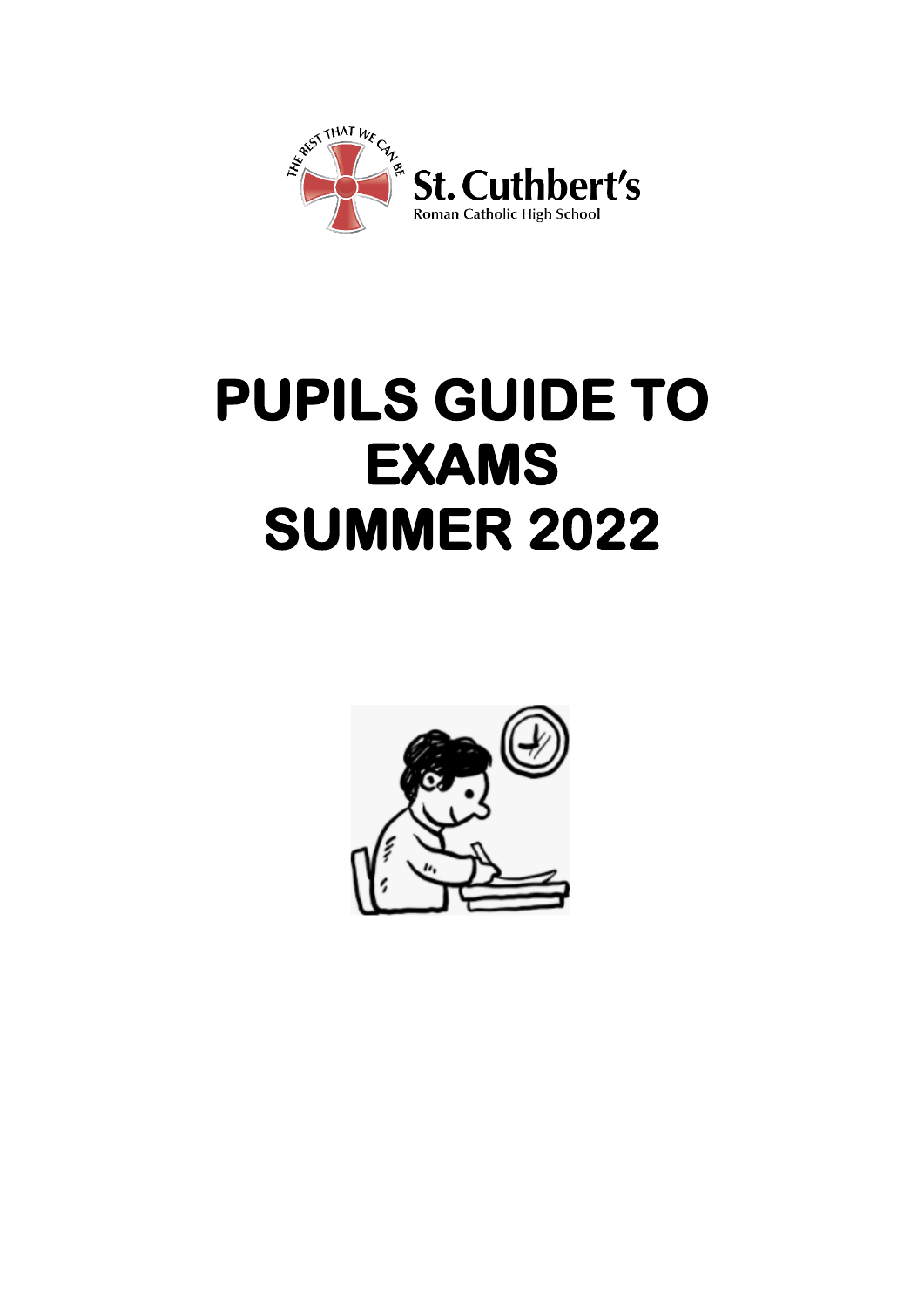

# **PUPILS GUIDE TO EXAMS SUMMER 2022**

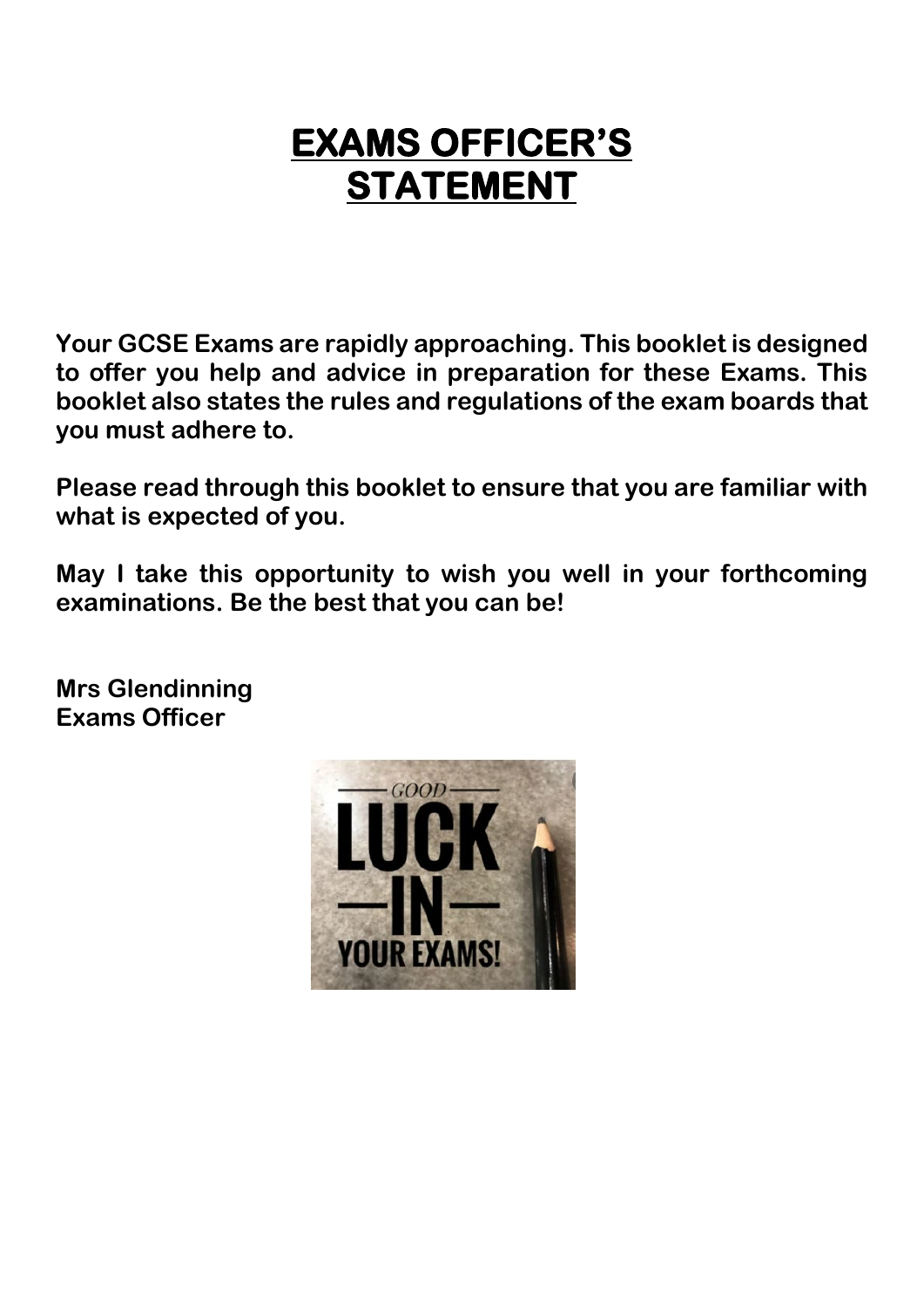## **EXAMS OFFICER'S STATEMENT**

**Your GCSE Exams are rapidly approaching. This booklet is designed to offer you help and advice in preparation for these Exams. This booklet also states the rules and regulations of the exam boards that you must adhere to.**

**Please read through this booklet to ensure that you are familiar with what is expected of you.**

**May I take this opportunity to wish you well in your forthcoming examinations. Be the best that you can be!**

**Mrs Glendinning Exams Officer** 

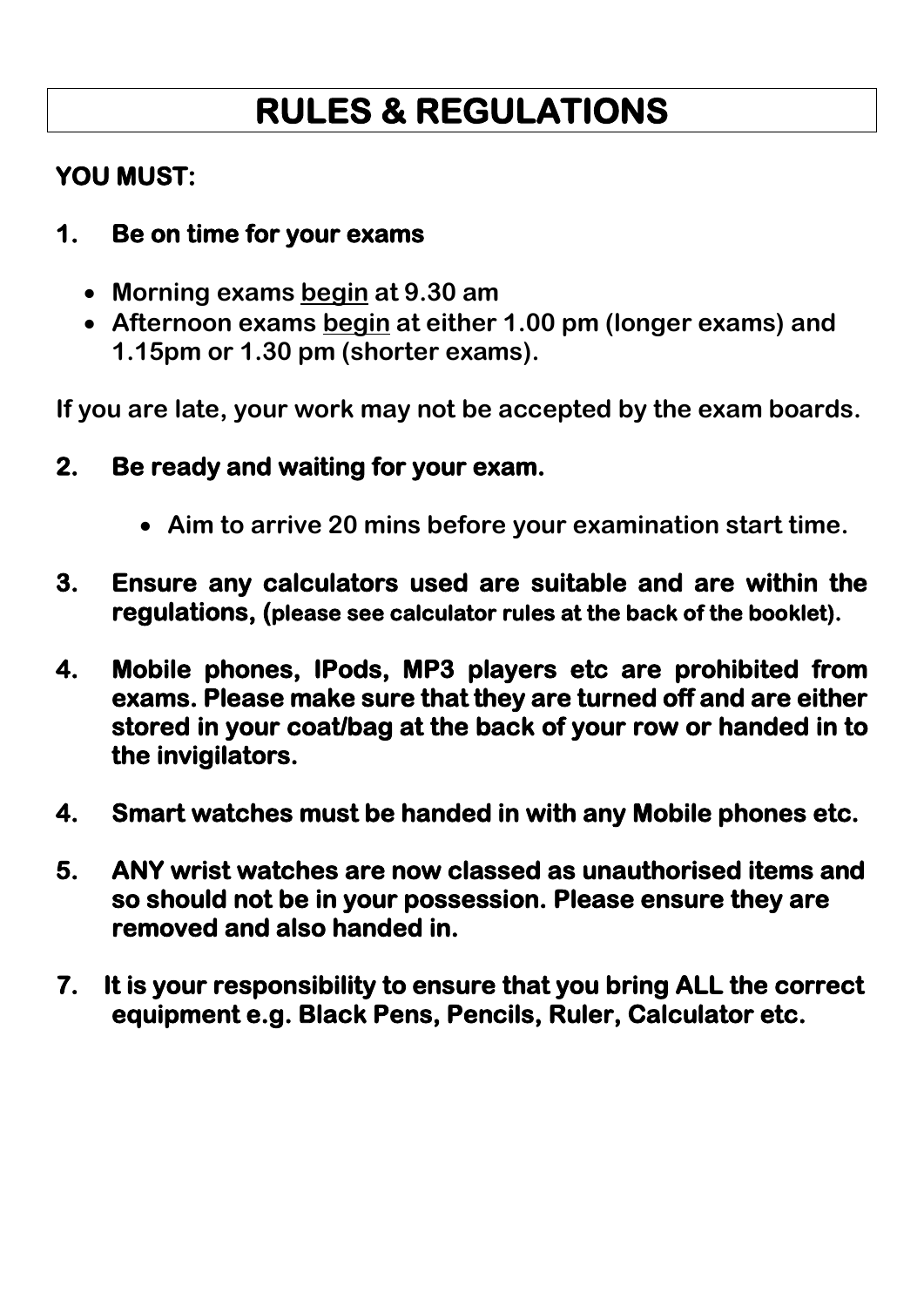## **RULES & REGULATIONS**

## **YOU MUST:**

### **1. Be on time for your exams**

- **Morning exams begin at 9.30 am**
- **Afternoon exams begin at either 1.00 pm (longer exams) and 1.15pm or 1.30 pm (shorter exams).**

**If you are late, your work may not be accepted by the exam boards.**

- **2. Be ready and waiting for your exam.** 
	- **Aim to arrive 20 mins before your examination start time.**
- **3. Ensure any calculators used are suitable and are within the regulations, (please see calculator rules at the back of the booklet).**
- **4. Mobile phones, IPods, MP3 players etc are prohibited from exams. Please make sure that they are turned off and are either stored in your coat/bag at the back of your row or handed in to the invigilators.**
- **4. Smart watches must be handed in with any Mobile phones etc.**
- **5. ANY wrist watches are now classed as unauthorised items and so should not be in your possession. Please ensure they are removed and also handed in.**
- **7. It is your responsibility to ensure that you bring ALL the correct equipment e.g. Black Pens, Pencils, Ruler, Calculator etc.**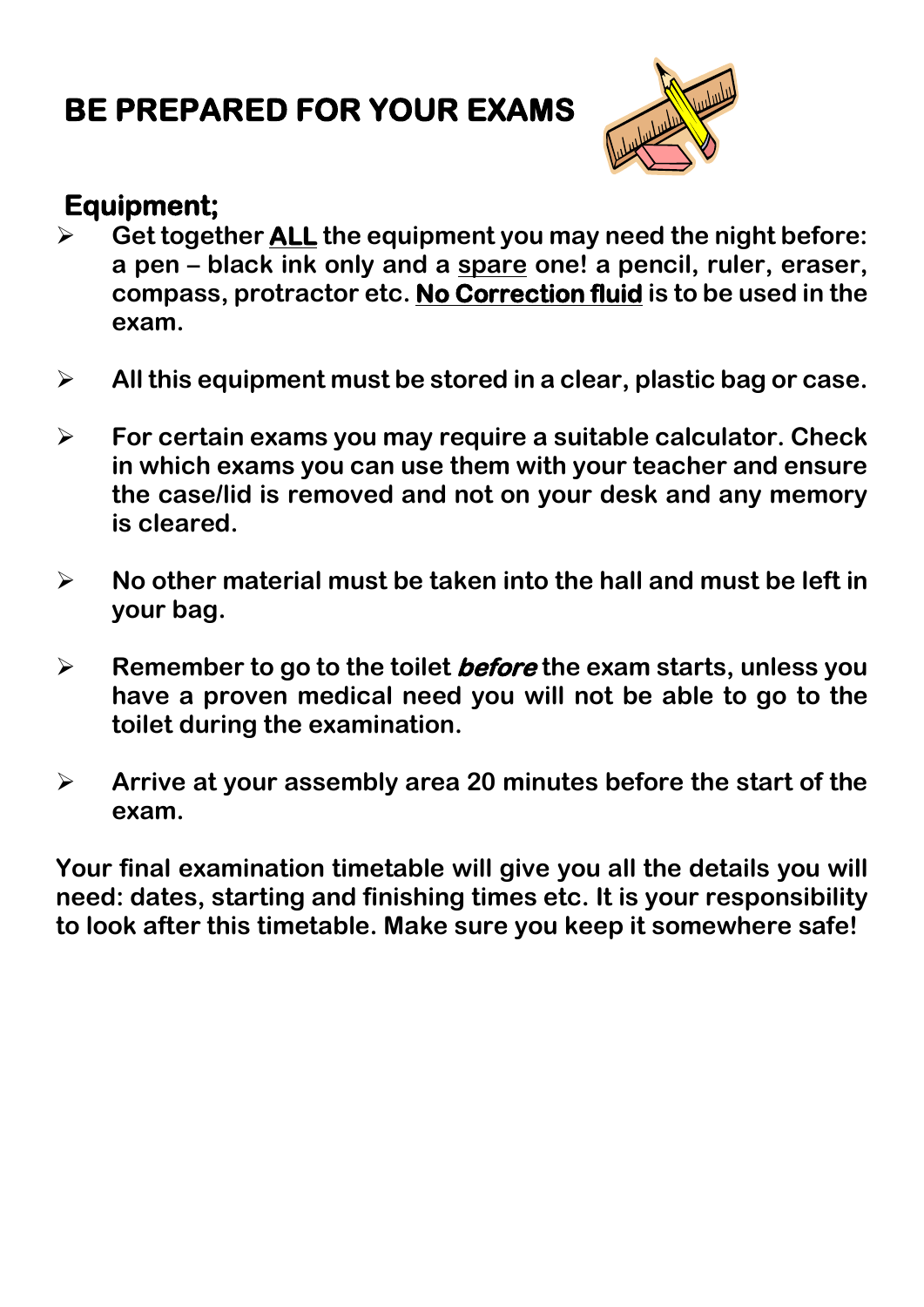## **BE PREPARED FOR YOUR EXAMS**



## **Equipment;**

- **Get together ALL the equipment you may need the night before: a pen – black ink only and a spare one! a pencil, ruler, eraser, compass, protractor etc. No Correction fluid is to be used in the exam.**
- **All this equipment must be stored in a clear, plastic bag or case.**
- **For certain exams you may require a suitable calculator. Check in which exams you can use them with your teacher and ensure the case/lid is removed and not on your desk and any memory is cleared.**
- **No other material must be taken into the hall and must be left in your bag.**
- **Remember to go to the toilet before the exam starts, unless you have a proven medical need you will not be able to go to the toilet during the examination.**
- **Arrive at your assembly area 20 minutes before the start of the exam.**

**Your final examination timetable will give you all the details you will need: dates, starting and finishing times etc. It is your responsibility to look after this timetable. Make sure you keep it somewhere safe!**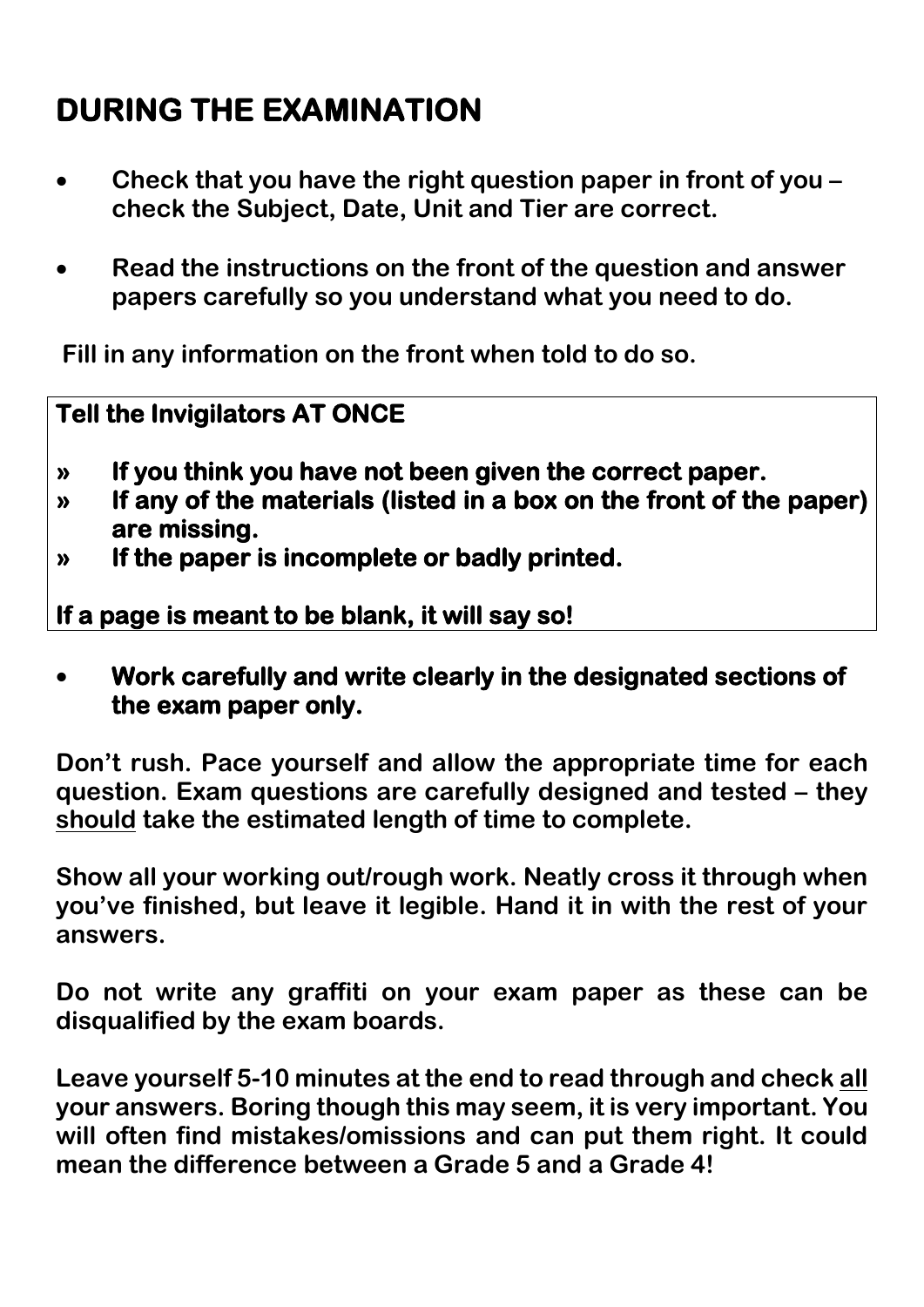## **DURING THE EXAMINATION**

- **Check that you have the right question paper in front of you check the Subject, Date, Unit and Tier are correct.**
- **Read the instructions on the front of the question and answer papers carefully so you understand what you need to do.**

**Fill in any information on the front when told to do so.**

### **Tell the Invigilators AT ONCE**

- **» If you think you have not been given the correct paper.**
- **» If any of the materials (listed in a box on the front of the paper) are missing.**
- **» If the paper is incomplete or badly printed.**

**If a page is meant to be blank, it will say so!** 

• **Work carefully and write clearly in the designated sections of the exam paper only.** 

**Don't rush. Pace yourself and allow the appropriate time for each question. Exam questions are carefully designed and tested – they should take the estimated length of time to complete.**

**Show all your working out/rough work. Neatly cross it through when you've finished, but leave it legible. Hand it in with the rest of your answers.**

**Do not write any graffiti on your exam paper as these can be disqualified by the exam boards.**

**Leave yourself 5-10 minutes at the end to read through and check all your answers. Boring though this may seem, it is very important. You will often find mistakes/omissions and can put them right. It could mean the difference between a Grade 5 and a Grade 4!**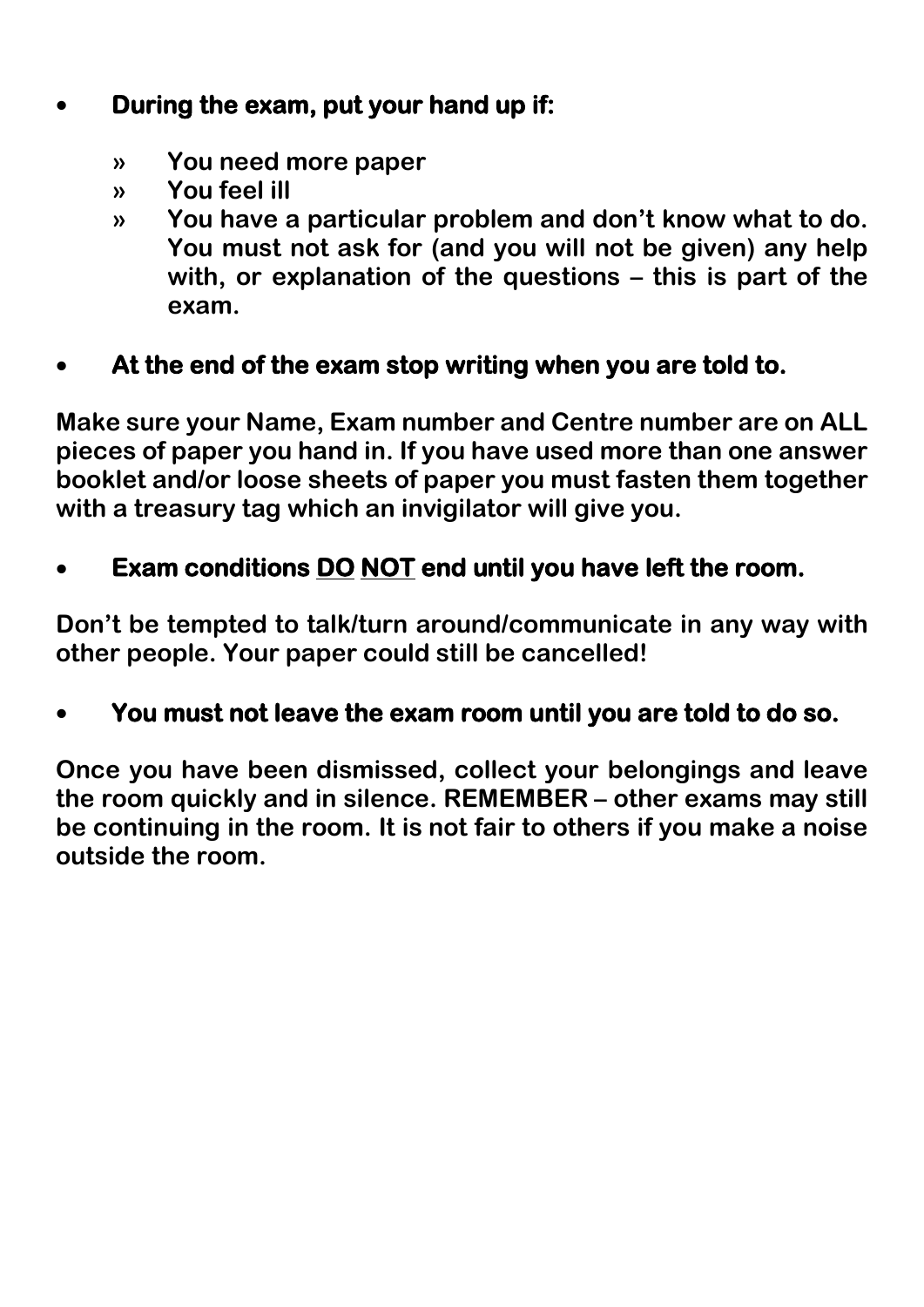## • **During the exam, put your hand up if:**

- **» You need more paper**
- **» You feel ill**
- **» You have a particular problem and don't know what to do. You must not ask for (and you will not be given) any help with, or explanation of the questions – this is part of the exam.**

## • **At the end of the exam stop writing when you are told to.**

**Make sure your Name, Exam number and Centre number are on ALL pieces of paper you hand in. If you have used more than one answer booklet and/or loose sheets of paper you must fasten them together with a treasury tag which an invigilator will give you.**

## • **Exam conditions DO NOT end until you have left the room.**

**Don't be tempted to talk/turn around/communicate in any way with other people. Your paper could still be cancelled!**

## • **You must not leave the exam room until you are told to do so.**

**Once you have been dismissed, collect your belongings and leave the room quickly and in silence. REMEMBER – other exams may still be continuing in the room. It is not fair to others if you make a noise outside the room.**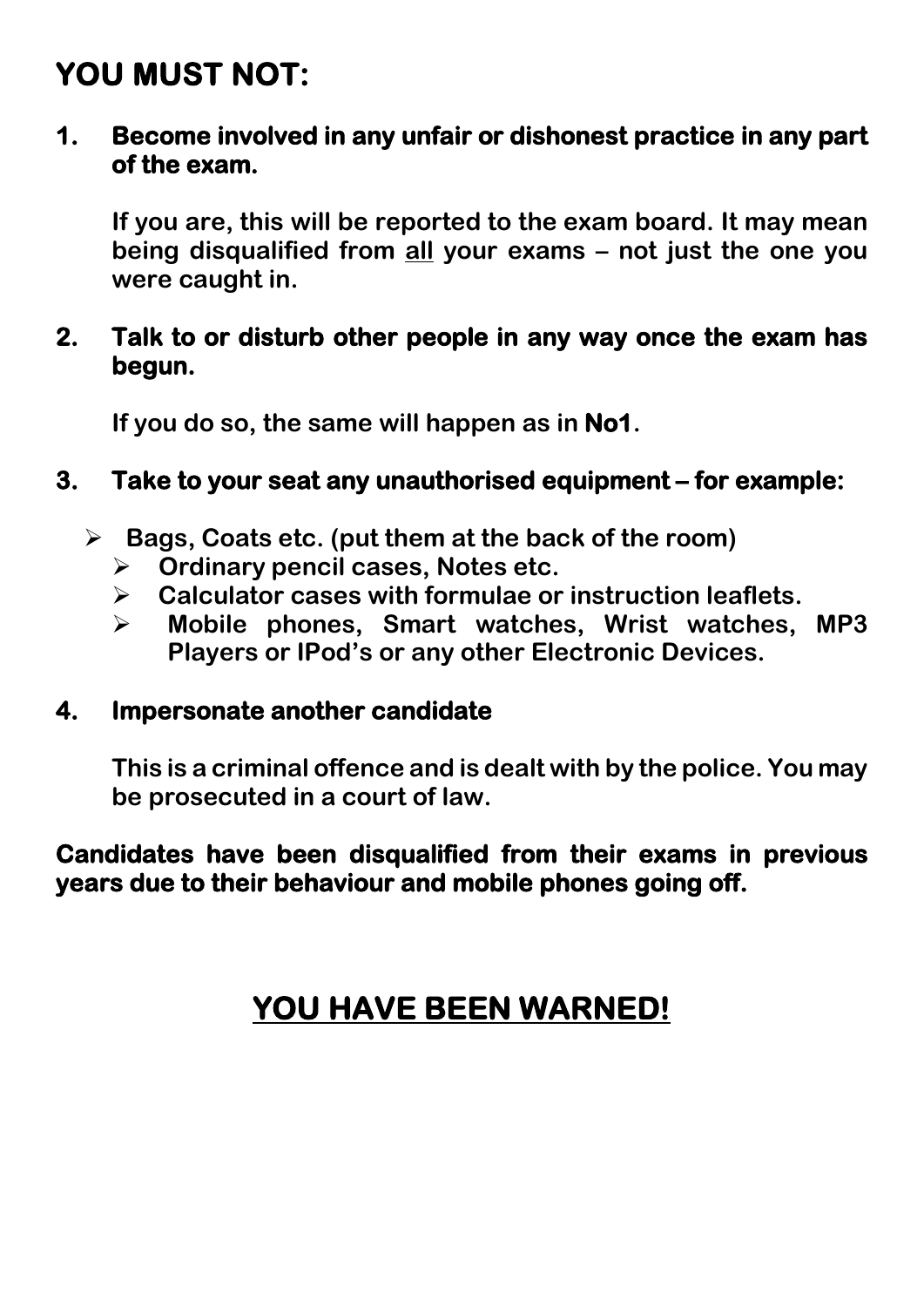## **YOU MUST NOT:**

**1. Become involved in any unfair or dishonest practice in any part of the exam.** 

**If you are, this will be reported to the exam board. It may mean being disqualified from all your exams – not just the one you were caught in.**

#### **2. Talk to or disturb other people in any way once the exam has begun.**

**If you do so, the same will happen as in No1.** 

### **3. Take to your seat any unauthorised equipment – for example:**

- **Bags, Coats etc. (put them at the back of the room)**
	- **Ordinary pencil cases, Notes etc.**
	- **Calculator cases with formulae or instruction leaflets.**
	- **Mobile phones, Smart watches, Wrist watches, MP3 Players or IPod's or any other Electronic Devices.**

#### **4. Impersonate another candidate**

**This is a criminal offence and is dealt with by the police. You may be prosecuted in a court of law.**

**Candidates have been disqualified from their exams in previous years due to their behaviour and mobile phones going off.** 

## **YOU HAVE BEEN WARNED!**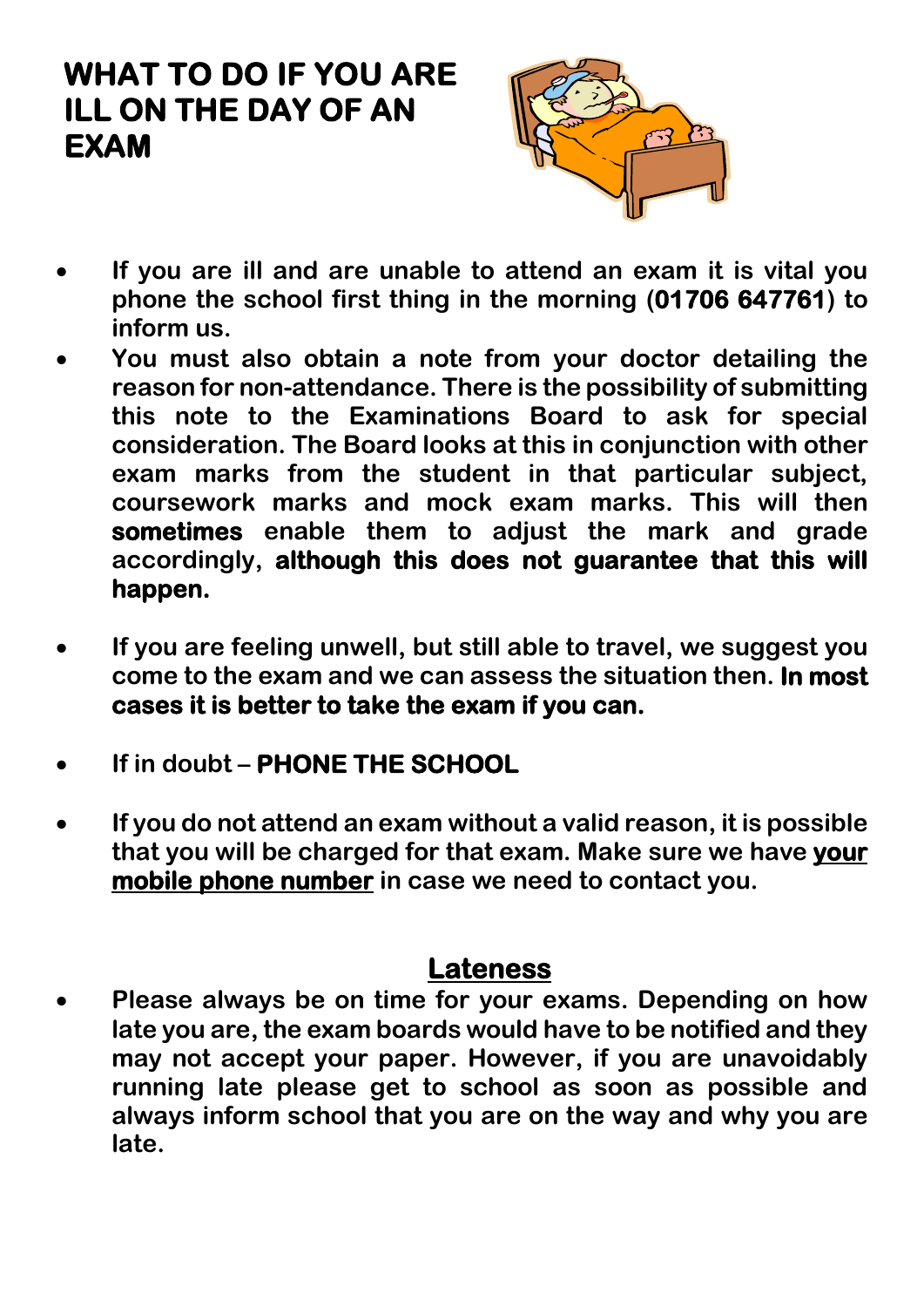## **WHAT TO DO IF YOU ARE ILL ON THE DAY OF AN EXAM**



- **If you are ill and are unable to attend an exam it is vital you phone the school first thing in the morning (01706 647761) to inform us.**
- **You must also obtain a note from your doctor detailing the reason for non-attendance. There is the possibility of submitting this note to the Examinations Board to ask for special consideration. The Board looks at this in conjunction with other exam marks from the student in that particular subject, coursework marks and mock exam marks. This will then sometimes enable them to adjust the mark and grade accordingly, although this does not guarantee that this will happen.**
- **If you are feeling unwell, but still able to travel, we suggest you come to the exam and we can assess the situation then. In most cases it is better to take the exam if you can.**
- **If in doubt PHONE THE SCHOOL**
- **If you do not attend an exam without a valid reason, it is possible that you will be charged for that exam. Make sure we have your mobile phone number in case we need to contact you.**

## **Lateness**

• **Please always be on time for your exams. Depending on how late you are, the exam boards would have to be notified and they may not accept your paper. However, if you are unavoidably running late please get to school as soon as possible and always inform school that you are on the way and why you are late.**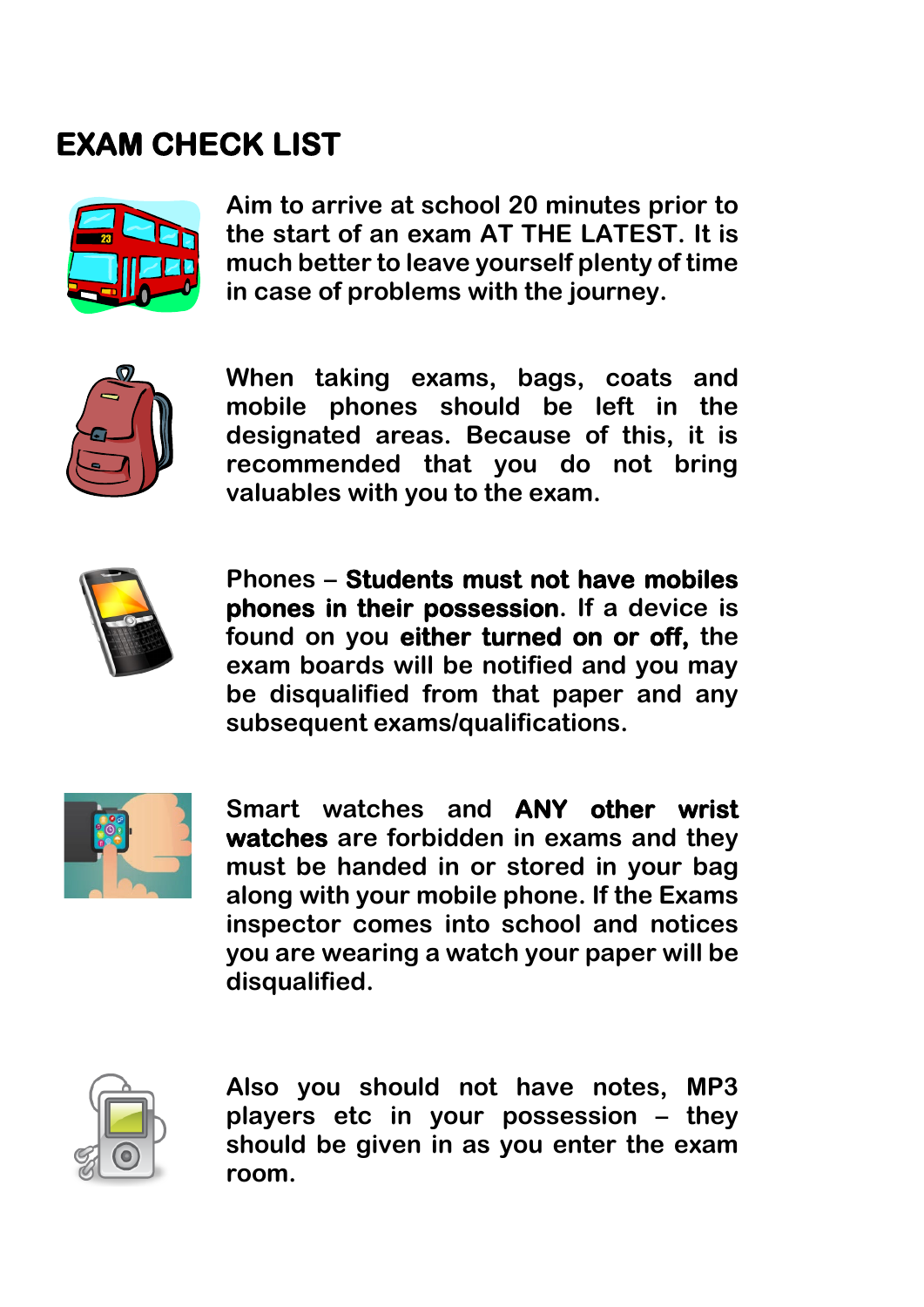## **EXAM CHECK LIST**



**Aim to arrive at school 20 minutes prior to the start of an exam AT THE LATEST. It is much better to leave yourself plenty of time in case of problems with the journey.**



**When taking exams, bags, coats and mobile phones should be left in the designated areas. Because of this, it is recommended that you do not bring valuables with you to the exam.**



**Phones – Students must not have mobiles phones in their possession. If a device is found on you either turned on or off, the exam boards will be notified and you may be disqualified from that paper and any subsequent exams/qualifications.** 



**Smart watches and ANY other wrist watches are forbidden in exams and they must be handed in or stored in your bag along with your mobile phone. If the Exams inspector comes into school and notices you are wearing a watch your paper will be disqualified.**



**Also you should not have notes, MP3 players etc in your possession – they should be given in as you enter the exam room.**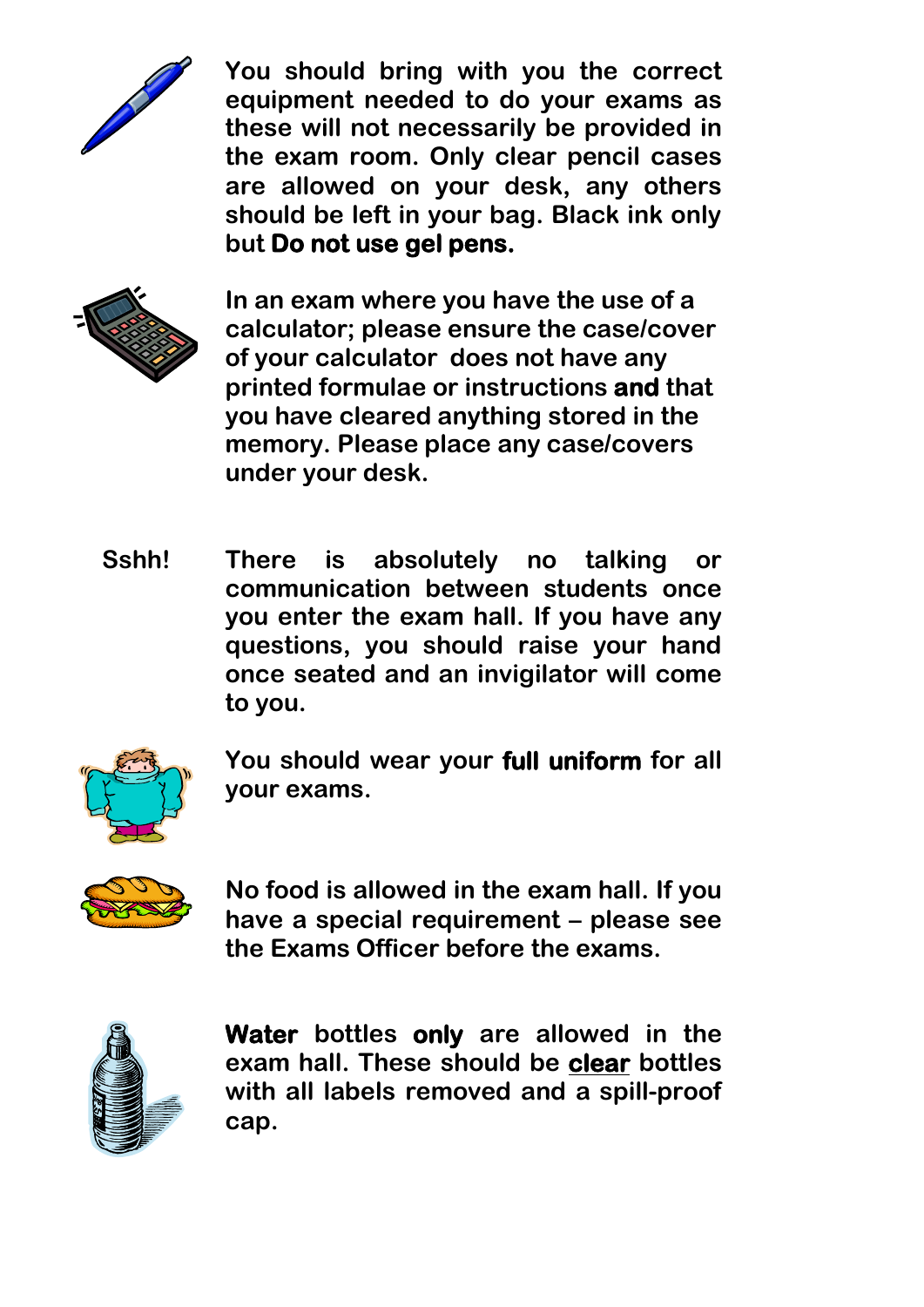

**You should bring with you the correct equipment needed to do your exams as these will not necessarily be provided in the exam room. Only clear pencil cases are allowed on your desk, any others should be left in your bag. Black ink only but Do not use gel pens.** 



**In an exam where you have the use of a calculator; please ensure the case/cover of your calculator does not have any printed formulae or instructions and that you have cleared anything stored in the memory. Please place any case/covers under your desk.** 

**Sshh! There is absolutely no talking or communication between students once you enter the exam hall. If you have any questions, you should raise your hand once seated and an invigilator will come to you.**



**You should wear your full uniform for all your exams.**



**No food is allowed in the exam hall. If you have a special requirement – please see the Exams Officer before the exams.**



**Water bottles only are allowed in the exam hall. These should be clear bottles with all labels removed and a spill-proof cap.**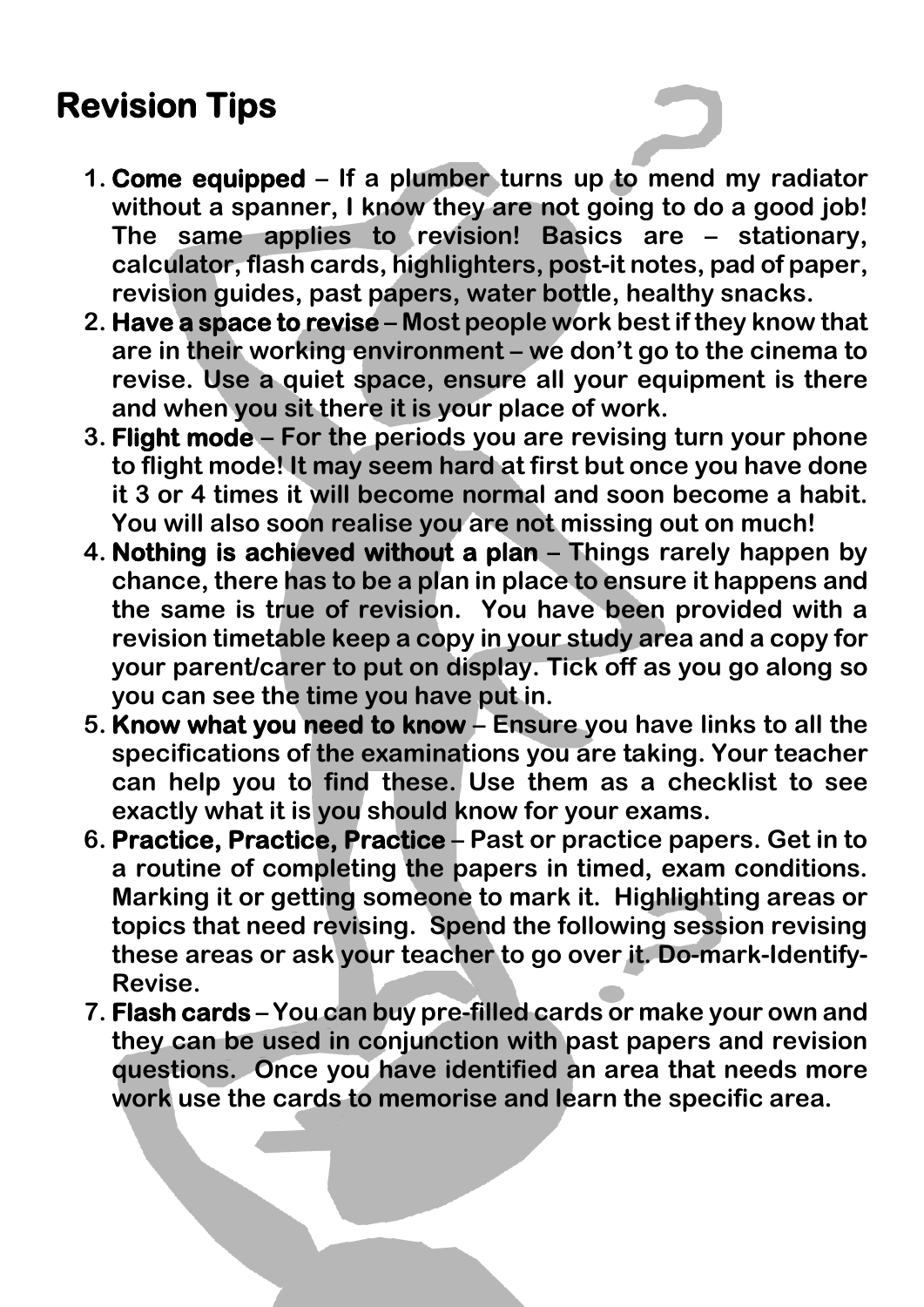## **Revision Tips**

- **1. Come equipped – If a plumber turns up to mend my radiator without a spanner, I know they are not going to do a good job! The same applies to revision! Basics are – stationary, calculator, flash cards, highlighters, post-it notes, pad of paper, revision guides, past papers, water bottle, healthy snacks.**
- **2. Have a space to revise – Most people work best if they know that are in their working environment – we don't go to the cinema to revise. Use a quiet space, ensure all your equipment is there and when you sit there it is your place of work.**
- **3. Flight mode – For the periods you are revising turn your phone to flight mode! It may seem hard at first but once you have done it 3 or 4 times it will become normal and soon become a habit. You will also soon realise you are not missing out on much!**
- **4. Nothing is achieved without a plan – Things rarely happen by chance, there has to be a plan in place to ensure it happens and the same is true of revision. You have been provided with a revision timetable keep a copy in your study area and a copy for your parent/carer to put on display. Tick off as you go along so you can see the time you have put in.**
- **5. Know what you need to know – Ensure you have links to all the specifications of the examinations you are taking. Your teacher can help you to find these. Use them as a checklist to see exactly what it is you should know for your exams.**
- **6. Practice, Practice, Practice – Past or practice papers. Get in to a routine of completing the papers in timed, exam conditions. Marking it or getting someone to mark it. Highlighting areas or topics that need revising. Spend the following session revising these areas or ask your teacher to go over it. Do-mark-Identify-Revise.**
- **7. Flash cards – You can buy pre-filled cards or make your own and they can be used in conjunction with past papers and revision questions. Once you have identified an area that needs more work use the cards to memorise and learn the specific area.**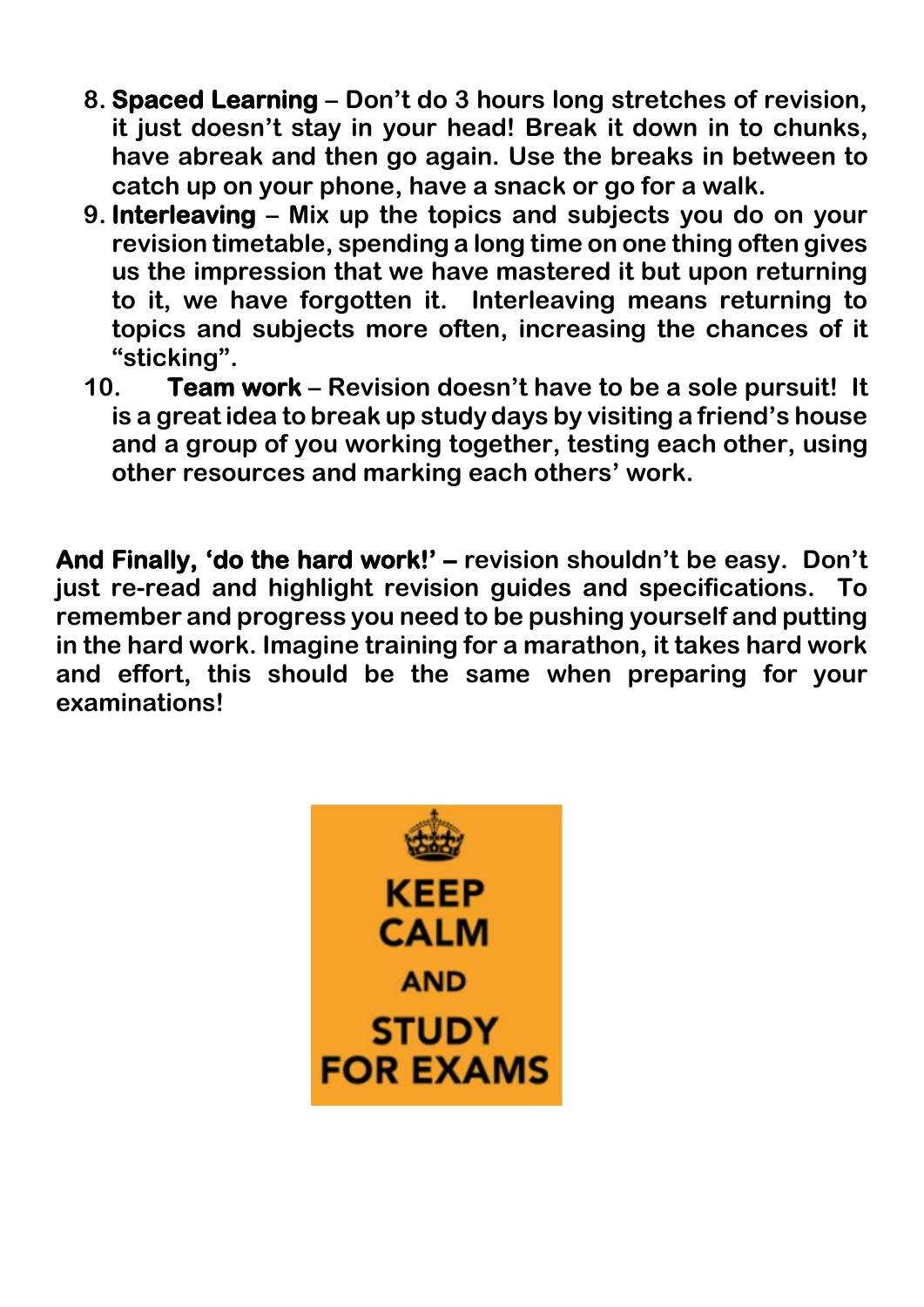- **8. Spaced Learning – Don't do 3 hours long stretches of revision, it just doesn't stay in your head! Break it down in to chunks, have abreak and then go again. Use the breaks in between to catch up on your phone, have a snack or go for a walk.**
- **9. Interleaving – Mix up the topics and subjects you do on your revision timetable, spending a long time on one thing often gives us the impression that we have mastered it but upon returning to it, we have forgotten it. Interleaving means returning to topics and subjects more often, increasing the chances of it "sticking".**
- **10. Team work – Revision doesn't have to be a sole pursuit! It is a great idea to break up study days by visiting a friend's house and a group of you working together, testing each other, using other resources and marking each others' work.**

**And Finally, 'do the hard work!' – revision shouldn't be easy. Don't just re-read and highlight revision guides and specifications. To remember and progress you need to be pushing yourself and putting in the hard work. Imagine training for a marathon, it takes hard work and effort, this should be the same when preparing for your examinations!** 

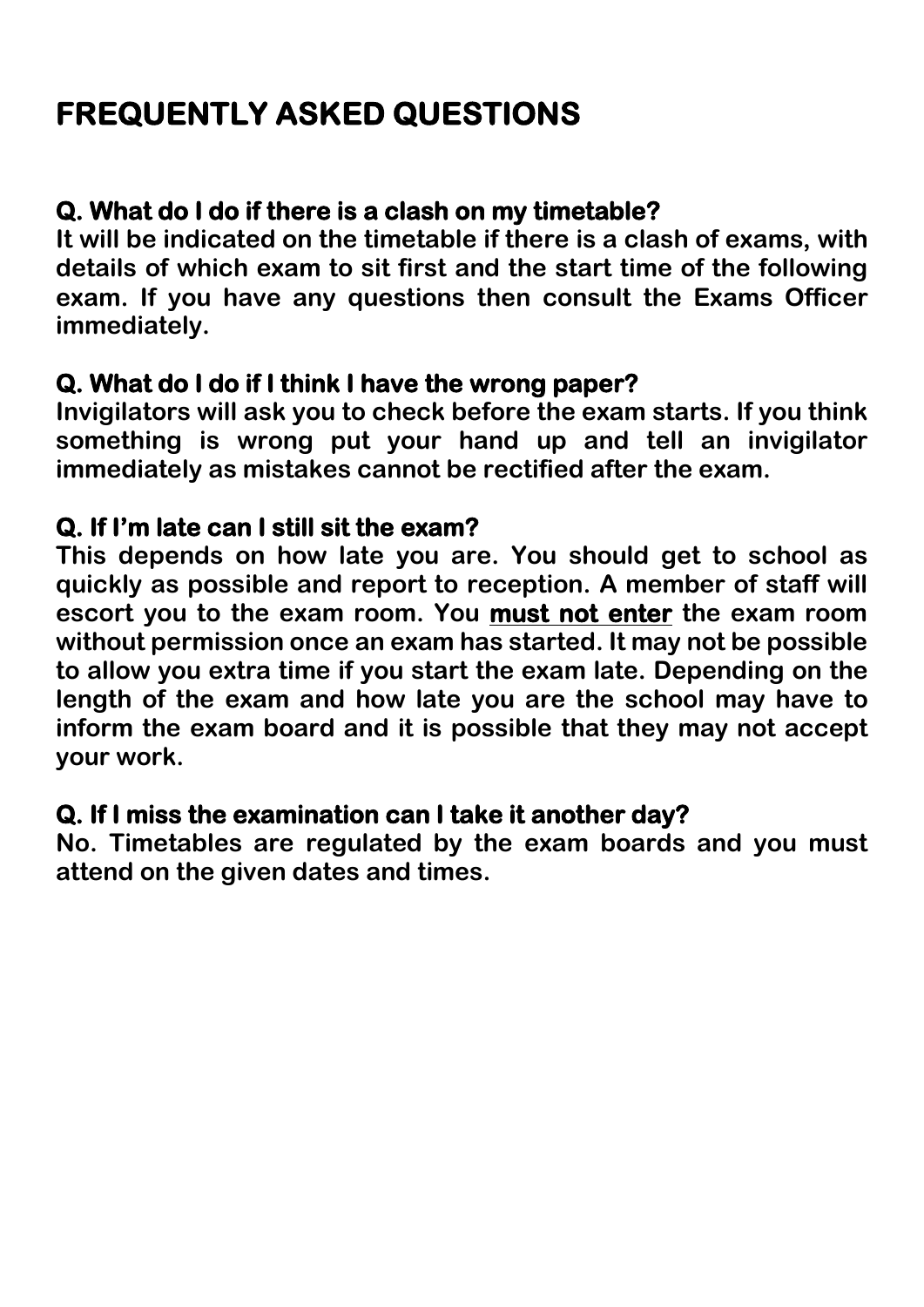## **FREQUENTLY ASKED QUESTIONS**

### **Q. What do I do if there is a clash on my timetable?**

**It will be indicated on the timetable if there is a clash of exams, with details of which exam to sit first and the start time of the following exam. If you have any questions then consult the Exams Officer immediately.**

#### **Q. What do I do if I think I have the wrong paper?**

**Invigilators will ask you to check before the exam starts. If you think something is wrong put your hand up and tell an invigilator immediately as mistakes cannot be rectified after the exam.**

### **Q. If I'm late can I still sit the exam?**

**This depends on how late you are. You should get to school as quickly as possible and report to reception. A member of staff will escort you to the exam room. You must not enter the exam room without permission once an exam has started. It may not be possible to allow you extra time if you start the exam late. Depending on the length of the exam and how late you are the school may have to inform the exam board and it is possible that they may not accept your work.** 

#### **Q. If I miss the examination can I take it another day?**

**No. Timetables are regulated by the exam boards and you must attend on the given dates and times.**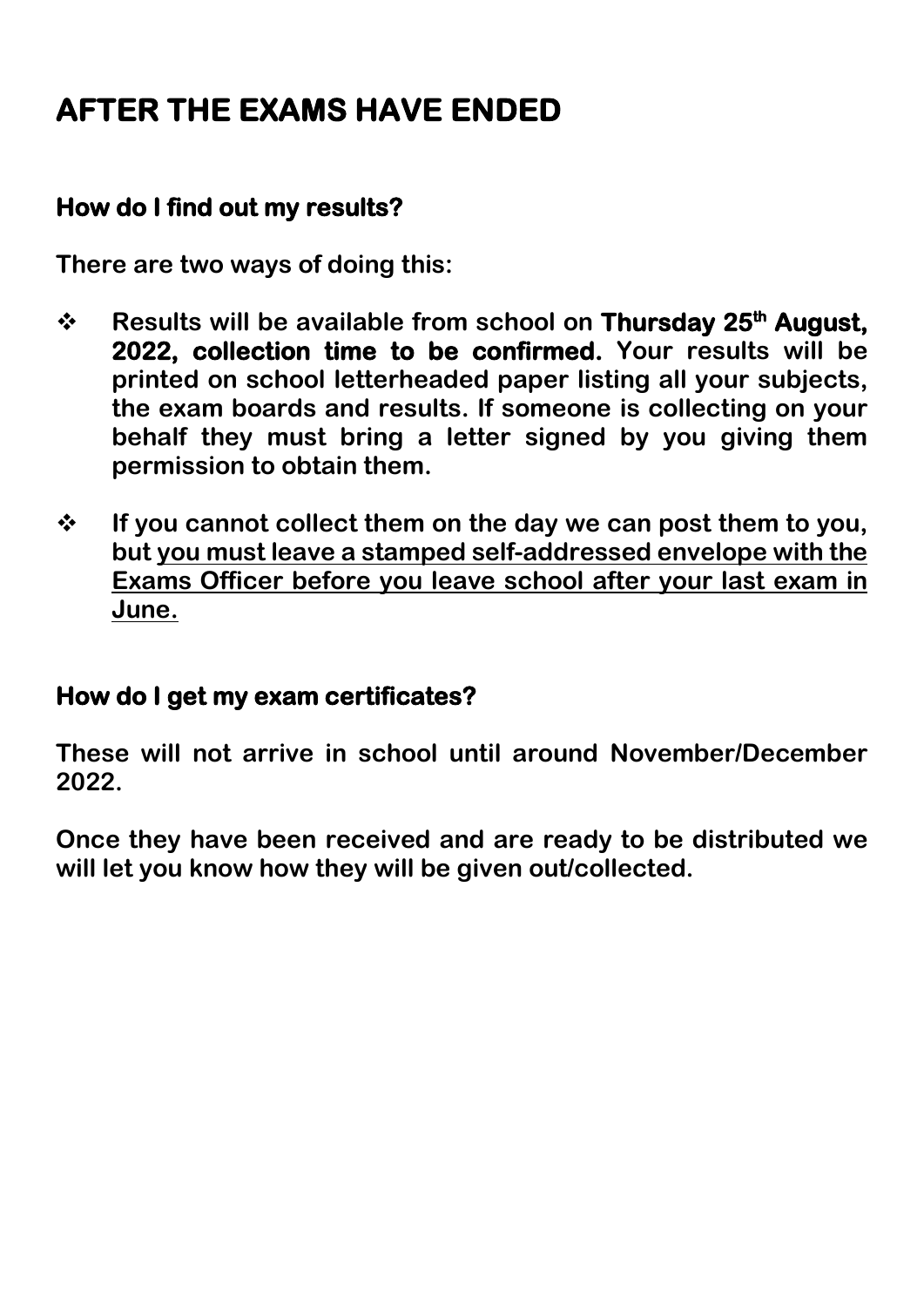## **AFTER THE EXAMS HAVE ENDED**

#### **How do I find out my results?**

**There are two ways of doing this:**

- **↑** Results will be available from school on Thursday 25<sup>th</sup> August, **2022, collection time to be confirmed. Your results will be printed on school letterheaded paper listing all your subjects, the exam boards and results. If someone is collecting on your behalf they must bring a letter signed by you giving them permission to obtain them.**
- **If you cannot collect them on the day we can post them to you, but you must leave a stamped self-addressed envelope with the Exams Officer before you leave school after your last exam in June.**

#### **How do I get my exam certificates?**

**These will not arrive in school until around November/December 2022.**

**Once they have been received and are ready to be distributed we will let you know how they will be given out/collected.**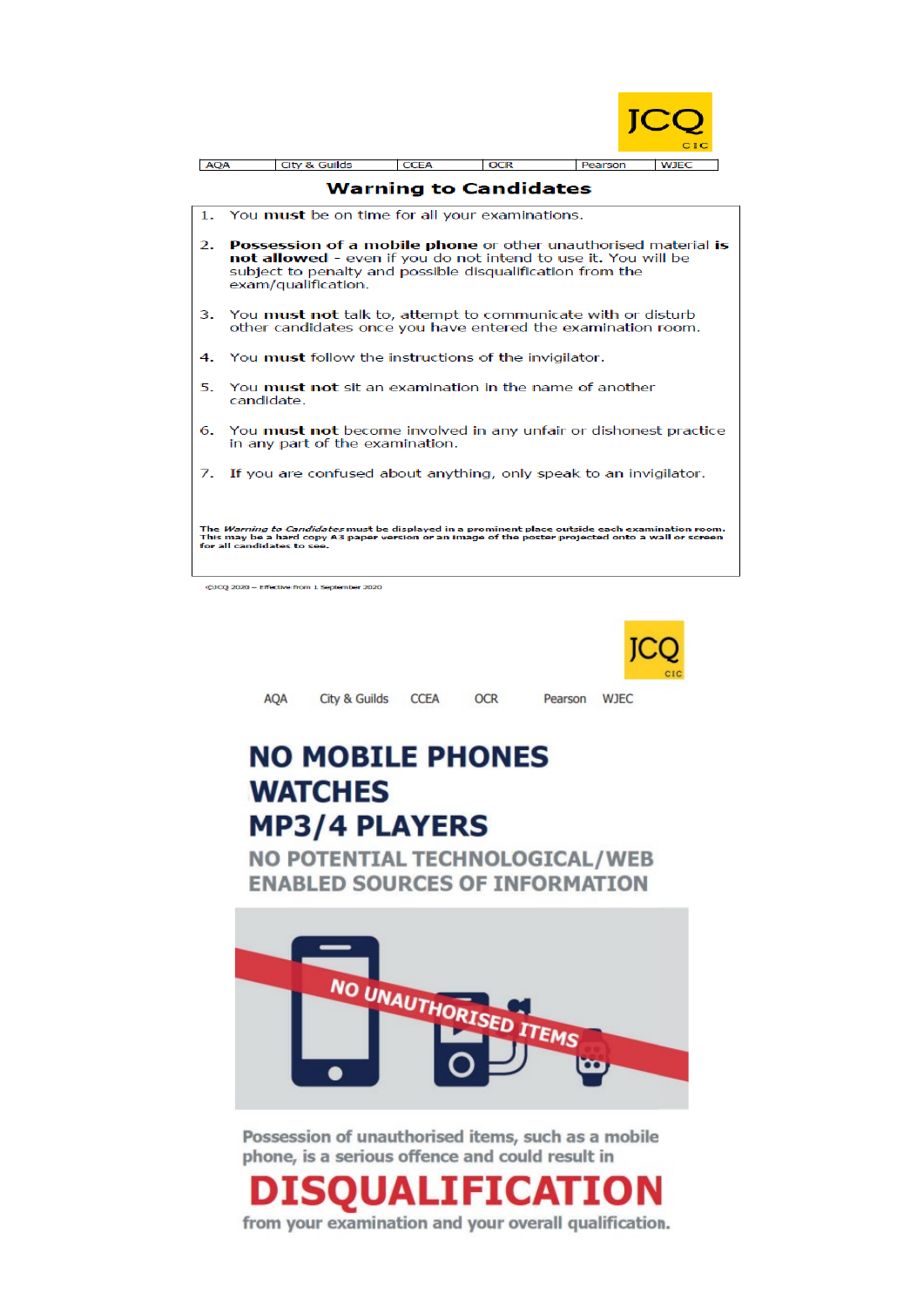

| <b>AQA</b>                                                                                                                                                                                                                          |                                                                                                                                                                                                                             | <b>City &amp; Guilds</b>                                          | <b>CCEA</b> | <b>OCR</b> | Pearson | <b>WJEC</b> |  |
|-------------------------------------------------------------------------------------------------------------------------------------------------------------------------------------------------------------------------------------|-----------------------------------------------------------------------------------------------------------------------------------------------------------------------------------------------------------------------------|-------------------------------------------------------------------|-------------|------------|---------|-------------|--|
| <b>Warning to Candidates</b>                                                                                                                                                                                                        |                                                                                                                                                                                                                             |                                                                   |             |            |         |             |  |
| 1.                                                                                                                                                                                                                                  | You must be on time for all your examinations.                                                                                                                                                                              |                                                                   |             |            |         |             |  |
| 2.                                                                                                                                                                                                                                  | <b>Possession of a mobile phone</b> or other unauthorised material is<br>not allowed - even if you do not intend to use it. You will be<br>subject to penalty and possible disqualification from the<br>exam/qualification. |                                                                   |             |            |         |             |  |
| 3.                                                                                                                                                                                                                                  | You <b>must not</b> talk to, attempt to communicate with or disturb<br>other candidates once you have entered the examination room.                                                                                         |                                                                   |             |            |         |             |  |
|                                                                                                                                                                                                                                     | 4. You <b>must</b> follow the instructions of the invigilator.                                                                                                                                                              |                                                                   |             |            |         |             |  |
|                                                                                                                                                                                                                                     | 5. You must not sit an examination in the name of another<br>candidate.                                                                                                                                                     |                                                                   |             |            |         |             |  |
|                                                                                                                                                                                                                                     | 6. You <b>must not</b> become involved in any unfair or dishonest practice<br>in any part of the examination.                                                                                                               |                                                                   |             |            |         |             |  |
| 7.                                                                                                                                                                                                                                  |                                                                                                                                                                                                                             | If you are confused about anything, only speak to an invigilator. |             |            |         |             |  |
| The Warning to Candidates must be displayed in a prominent place outside each examination room.<br>This may be a hard copy A3 paper version or an image of the poster projected onto a wall or screen<br>for all candidates to see. |                                                                                                                                                                                                                             |                                                                   |             |            |         |             |  |

@JCQ 2020 - Effective from 1 September 2020



AQA City & Guilds CCEA OCR

Pearson WJEC

## **NO MOBILE PHONES WATCHES MP3/4 PLAYERS**

**NO POTENTIAL TECHNOLOGICAL/WEB ENABLED SOURCES OF INFORMATION** 



Possession of unauthorised items, such as a mobile phone, is a serious offence and could result in